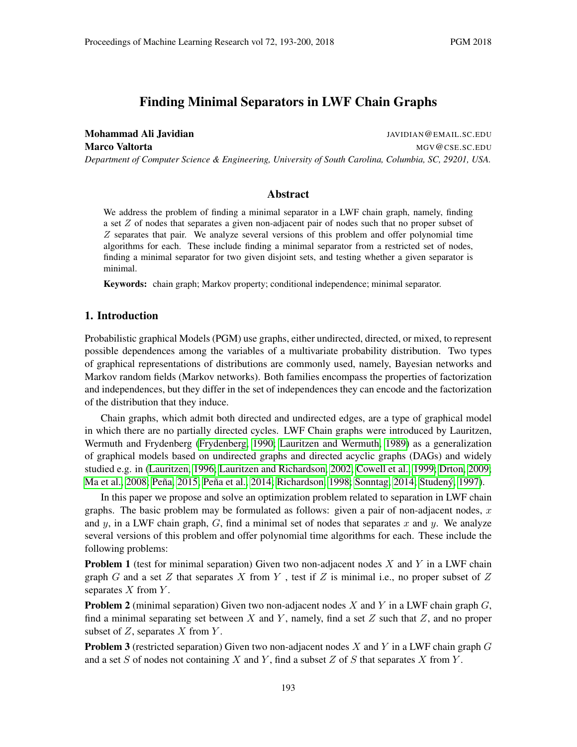# Finding Minimal Separators in LWF Chain Graphs

Mohammad Ali Javidian JAVIDIAN@EMAIL.SC.EDU Marco Valtorta and a metal metal metal metal metal metal metal metal metal metal metal metal metal metal metal *Department of Computer Science & Engineering, University of South Carolina, Columbia, SC, 29201, USA.*

# Abstract

We address the problem of finding a minimal separator in a LWF chain graph, namely, finding a set Z of nodes that separates a given non-adjacent pair of nodes such that no proper subset of  $Z$  separates that pair. We analyze several versions of this problem and offer polynomial time algorithms for each. These include finding a minimal separator from a restricted set of nodes, finding a minimal separator for two given disjoint sets, and testing whether a given separator is minimal.

Keywords: chain graph; Markov property; conditional independence; minimal separator.

### <span id="page-0-0"></span>1. Introduction

Probabilistic graphical Models (PGM) use graphs, either undirected, directed, or mixed, to represent possible dependences among the variables of a multivariate probability distribution. Two types of graphical representations of distributions are commonly used, namely, Bayesian networks and Markov random fields (Markov networks). Both families encompass the properties of factorization and independences, but they differ in the set of independences they can encode and the factorization of the distribution that they induce.

Chain graphs, which admit both directed and undirected edges, are a type of graphical model in which there are no partially directed cycles. LWF Chain graphs were introduced by Lauritzen, Wermuth and Frydenberg [\(Frydenberg, 1990;](#page-6-0) [Lauritzen and Wermuth, 1989\)](#page-6-1) as a generalization of graphical models based on undirected graphs and directed acyclic graphs (DAGs) and widely studied e.g. in [\(Lauritzen, 1996;](#page-6-2) [Lauritzen and Richardson, 2002;](#page-6-3) [Cowell et al., 1999;](#page-6-4) [Drton, 2009;](#page-6-5) [Ma et al., 2008;](#page-6-6) Peña, 2015; Peña et al., 2014; [Richardson, 1998;](#page-7-1) [Sonntag, 2014;](#page-7-2) [Studen](#page-7-3)ý, [1997\)](#page-7-3).

In this paper we propose and solve an optimization problem related to separation in LWF chain graphs. The basic problem may be formulated as follows: given a pair of non-adjacent nodes,  $x$ and y, in a LWF chain graph,  $G$ , find a minimal set of nodes that separates x and y. We analyze several versions of this problem and offer polynomial time algorithms for each. These include the following problems:

**Problem 1** (test for minimal separation) Given two non-adjacent nodes  $X$  and  $Y$  in a LWF chain graph G and a set Z that separates X from Y, test if Z is minimal i.e., no proper subset of  $Z$ separates  $X$  from  $Y$ .

**Problem 2** (minimal separation) Given two non-adjacent nodes  $X$  and  $Y$  in a LWF chain graph  $G$ , find a minimal separating set between X and Y, namely, find a set  $Z$  such that  $Z$ , and no proper subset of  $Z$ , separates  $X$  from  $Y$ .

**Problem 3** (restricted separation) Given two non-adjacent nodes X and Y in a LWF chain graph G and a set S of nodes not containing X and Y, find a subset Z of S that separates X from Y.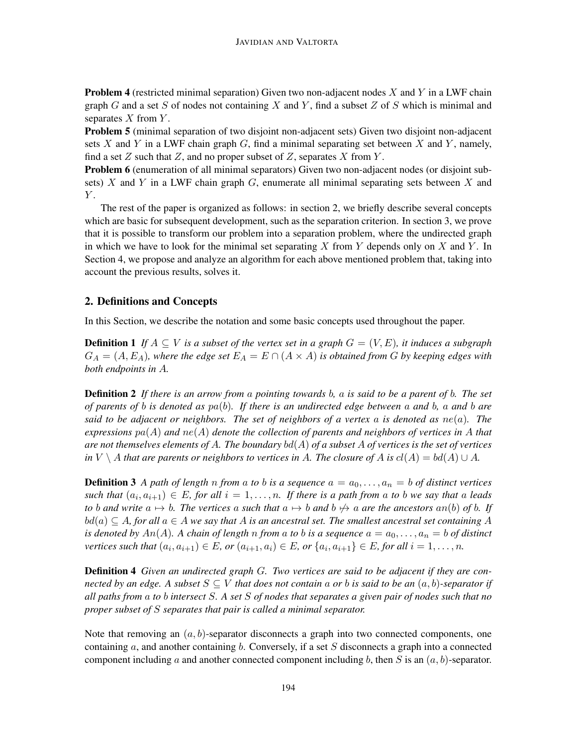**Problem 4** (restricted minimal separation) Given two non-adjacent nodes  $X$  and  $Y$  in a LWF chain graph G and a set S of nodes not containing X and Y, find a subset Z of S which is minimal and separates  $X$  from  $Y$ .

Problem 5 (minimal separation of two disjoint non-adjacent sets) Given two disjoint non-adjacent sets  $X$  and  $Y$  in a LWF chain graph  $G$ , find a minimal separating set between  $X$  and  $Y$ , namely, find a set  $Z$  such that  $Z$ , and no proper subset of  $Z$ , separates  $X$  from  $Y$ .

Problem 6 (enumeration of all minimal separators) Given two non-adjacent nodes (or disjoint subsets) X and Y in a LWF chain graph  $G$ , enumerate all minimal separating sets between X and  $Y$ .

The rest of the paper is organized as follows: in section 2, we briefly describe several concepts which are basic for subsequent development, such as the separation criterion. In section 3, we prove that it is possible to transform our problem into a separation problem, where the undirected graph in which we have to look for the minimal set separating X from Y depends only on X and Y. In Section 4, we propose and analyze an algorithm for each above mentioned problem that, taking into account the previous results, solves it.

# 2. Definitions and Concepts

In this Section, we describe the notation and some basic concepts used throughout the paper.

**Definition 1** If  $A ⊂ V$  *is a subset of the vertex set in a graph*  $G = (V, E)$ *, it induces a subgraph*  $G_A = (A, E_A)$ , where the edge set  $E_A = E \cap (A \times A)$  is obtained from G by keeping edges with *both endpoints in* A*.*

Definition 2 *If there is an arrow from* a *pointing towards* b*,* a *is said to be a parent of* b*. The set of parents of* b *is denoted as* pa(b)*. If there is an undirected edge between* a *and* b*,* a *and* b *are said to be adjacent or neighbors. The set of neighbors of a vertex* a *is denoted as* ne(a)*. The* expressions  $pa(A)$  *and*  $ne(A)$  *denote the collection of parents and neighbors of vertices in* A *that are not themselves elements of* A*. The boundary* bd(A) *of a subset* A *of vertices is the set of vertices in*  $V \setminus A$  *that are parents or neighbors to vertices in* A. The closure of A is  $cl(A) = bd(A) \cup A$ .

**Definition 3** A path of length n from a to b is a sequence  $a = a_0, \ldots, a_n = b$  of distinct vertices  $\mathit{such that} \; (a_i, a_{i+1}) \in E$ , for all  $i = 1, \ldots, n$ . If there is a path from a to b we say that a leads *to b* and write  $a \mapsto b$ *. The vertices* a *such that*  $a \mapsto b$  *and*  $b \not\mapsto a$  *are the ancestors* an(b) *of b.* If bd(a) ⊆ A*, for all* a ∈ A *we say that* A *is an ancestral set. The smallest ancestral set containing* A *is denoted by*  $An(A)$ *. A chain of length n from a to b is a sequence*  $a = a_0, \ldots, a_n = b$  *of distinct vertices such that*  $(a_i, a_{i+1}) \in E$ *, or*  $(a_{i+1}, a_i) \in E$ *, or*  $\{a_i, a_{i+1}\} \in E$ *, for all*  $i = 1, ..., n$ *.* 

Definition 4 *Given an undirected graph* G*. Two vertices are said to be adjacent if they are connected by an edge.* A subset  $S \subseteq V$  *that does not contain* a *or b is said to be an*  $(a, b)$ -separator if *all paths from* a *to* b *intersect* S*. A set* S *of nodes that separates a given pair of nodes such that no proper subset of* S *separates that pair is called a minimal separator.*

Note that removing an  $(a, b)$ -separator disconnects a graph into two connected components, one containing  $a$ , and another containing  $b$ . Conversely, if a set  $S$  disconnects a graph into a connected component including a and another connected component including b, then S is an  $(a, b)$ -separator.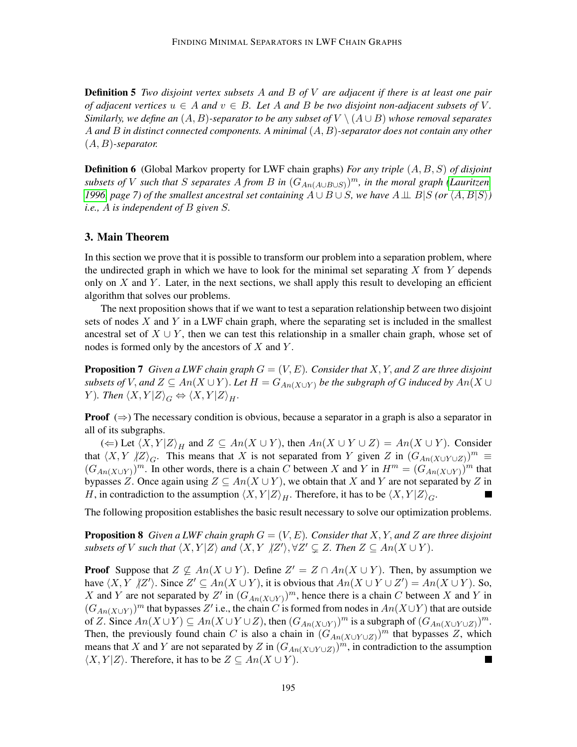Definition 5 *Two disjoint vertex subsets* A *and* B *of* V *are adjacent if there is at least one pair of adjacent vertices*  $u \in A$  *and*  $v \in B$ *. Let* A *and* B *be two disjoint non-adjacent subsets of* V. *Similarly, we define an*  $(A, B)$ -separator to be any subset of  $V \setminus (A \cup B)$  whose removal separates A *and* B *in distinct connected components. A minimal* (A, B)*-separator does not contain any other* (A, B)*-separator.*

**Definition 6** (Global Markov property for LWF chain graphs) *For any triple*  $(A, B, S)$  *of disjoint*  $subsets$  of  $V$  such that  $S$  separates  $A$  from  $B$  in  $(G_{An(A\cup B\cup S)})^m$ , in the moral graph [\(Lauritzen,](#page-6-2) *[1996,](#page-6-2)* page 7) of the smallest ancestral set containing  $A \cup B \cup S$ *, we have*  $A \perp \!\!\!\perp B |S$  *(or*  $\langle A, B | S \rangle$ *) i.e.,* A *is independent of* B *given* S*.*

# 3. Main Theorem

In this section we prove that it is possible to transform our problem into a separation problem, where the undirected graph in which we have to look for the minimal set separating  $X$  from  $Y$  depends only on  $X$  and  $Y$ . Later, in the next sections, we shall apply this result to developing an efficient algorithm that solves our problems.

The next proposition shows that if we want to test a separation relationship between two disjoint sets of nodes  $X$  and  $Y$  in a LWF chain graph, where the separating set is included in the smallest ancestral set of  $X \cup Y$ , then we can test this relationship in a smaller chain graph, whose set of nodes is formed only by the ancestors of  $X$  and  $Y$ .

<span id="page-2-0"></span>**Proposition 7** Given a LWF chain graph  $G = (V, E)$ . Consider that X, Y, and Z are three disjoint *subsets of* V, and  $Z \subseteq An(X \cup Y)$ . Let  $H = G_{An(X \cup Y)}$  be the subgraph of G induced by  $An(X \cup Y)$ *Y*). Then  $\langle X, Y | Z \rangle_G \Leftrightarrow \langle X, Y | Z \rangle_H$ .

**Proof**  $(\Rightarrow)$  The necessary condition is obvious, because a separator in a graph is also a separator in all of its subgraphs.

(←) Let  $\langle X, Y | Z \rangle$ <sub>H</sub> and  $Z \subseteq An(X \cup Y)$ , then  $An(X \cup Y \cup Z) = An(X \cup Y)$ . Consider that  $\langle X, Y \rangle / Z \rangle_G$ . This means that X is not separated from Y given Z in  $(G_{An(X\cup Y\cup Z)})^m \equiv$  $(G_{An(X\cup Y)})^m$ . In other words, there is a chain C between X and Y in  $H^m = (G_{An(X\cup Y)})^m$  that bypasses Z. Once again using  $Z \subseteq An(X \cup Y)$ , we obtain that X and Y are not separated by Z in H, in contradiction to the assumption  $\langle X, Y | Z \rangle_H$ . Therefore, it has to be  $\langle X, Y | Z \rangle_G$ .

<span id="page-2-1"></span>The following proposition establishes the basic result necessary to solve our optimization problems.

**Proposition 8** Given a LWF chain graph  $G = (V, E)$ . Consider that X, Y, and Z are three disjoint *subsets of* V *such that*  $\langle X, Y | Z \rangle$  *and*  $\langle X, Y | Z' \rangle$ ,  $\forall Z' \subsetneq Z$ . Then  $Z \subseteq An(X \cup Y)$ .

**Proof** Suppose that  $Z \nsubseteq An(X \cup Y)$ . Define  $Z' = Z \cap An(X \cup Y)$ . Then, by assumption we have  $\langle X, Y \nvert Z' \rangle$ . Since  $Z' \subseteq An(X \cup Y)$ , it is obvious that  $An(X \cup Y \cup Z') = An(X \cup Y)$ . So, X and Y are not separated by Z' in  $(G_{An(X\cup Y)})^m$ , hence there is a chain C between X and Y in  $(G_{An(X\cup Y)})^m$  that bypasses Z' i.e., the chain C is formed from nodes in  $An(X\cup Y)$  that are outside of Z. Since  $An(X \cup Y) \subseteq An(X \cup Y \cup Z)$ , then  $(G_{An(X \cup Y)})^m$  is a subgraph of  $(G_{An(X \cup Y \cup Z)})^m$ . Then, the previously found chain C is also a chain in  $(G<sub>An(X\cup Y\cup Z)</sub>)<sup>m</sup>$  that bypasses Z, which means that X and Y are not separated by Z in  $(G_{An(X\cup Y\cup Z)})^m$ , in contradiction to the assumption  $\langle X, Y | Z \rangle$ . Therefore, it has to be  $Z \subseteq An(X \cup Y)$ .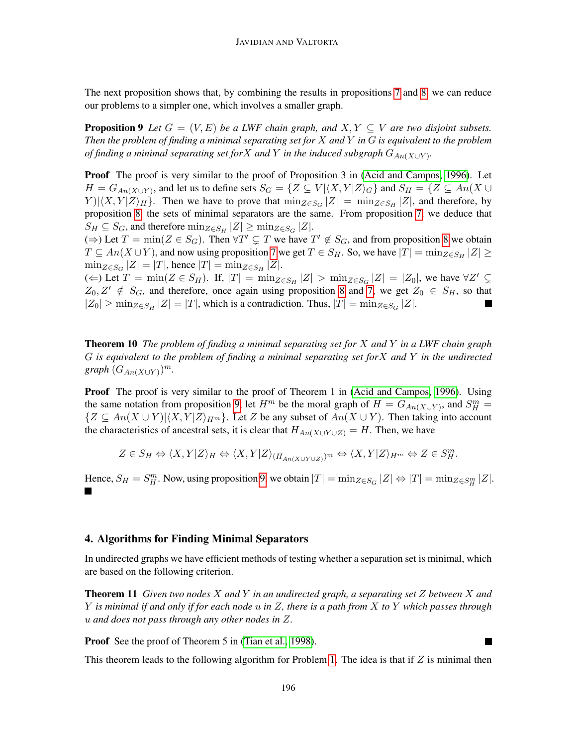<span id="page-3-0"></span>The next proposition shows that, by combining the results in propositions [7](#page-2-0) and [8,](#page-2-1) we can reduce our problems to a simpler one, which involves a smaller graph.

**Proposition 9** Let  $G = (V, E)$  be a LWF chain graph, and  $X, Y \subseteq V$  are two disjoint subsets. *Then the problem of finding a minimal separating set for* X *and* Y *in* G *is equivalent to the problem of finding a minimal separating set for* X *and* Y *in the induced subgraph*  $G_{An(X\cup Y)}$ *.* 

**Proof** The proof is very similar to the proof of Proposition 3 in [\(Acid and Campos, 1996\)](#page-6-8). Let  $H = G_{An(X \cup Y)}$ , and let us to define sets  $S_G = \{ Z \subseteq V | \langle X, Y | Z \rangle_G \}$  and  $S_H = \{ Z \subseteq An(X \cup Y) \}$  $Y$ ) $|\langle X, Y | Z \rangle$ <sub>H</sub> $\rangle$ . Then we have to prove that  $\min_{Z \in S_G} |Z| = \min_{Z \in S_H} |Z|$ , and therefore, by proposition [8,](#page-2-1) the sets of minimal separators are the same. From proposition [7,](#page-2-0) we deduce that  $S_H \subseteq S_G$ , and therefore  $\min_{Z \in S_H} |Z| \ge \min_{Z \in S_G} |Z|$ .

 $(\Rightarrow)$  Let  $T = \min(Z \in S_G)$ . Then  $\forall T' \subsetneq T$  we have  $T' \notin S_G$ , and from proposition [8](#page-2-1) we obtain  $T \subseteq An(X \cup Y)$ , and now using proposition [7](#page-2-0) we get  $T \in S_H$ . So, we have  $|T| = \min_{Z \in S_H} |Z| \ge$  $\min_{Z \in S_G} |Z| = |T|$ , hence  $|T| = \min_{Z \in S_H} |Z|$ .

(←) Let  $T = \min(Z \in S_H)$ . If,  $|T| = \min_{Z \in S_H} |Z| > \min_{Z \in S_G} |Z| = |Z_0|$ , we have  $\forall Z' \subsetneq$  $Z_0, Z' \notin S_G$ , and therefore, once again using proposition [8](#page-2-1) and [7,](#page-2-0) we get  $Z_0 \in S_H$ , so that  $|Z_0| \ge \min_{Z \in S_H} |Z| = |T|$ , which is a contradiction. Thus,  $|T| = \min_{Z \in S_G} |Z|$ .

<span id="page-3-2"></span>Theorem 10 *The problem of finding a minimal separating set for* X *and* Y *in a LWF chain graph* G *is equivalent to the problem of finding a minimal separating set for*X *and* Y *in the undirected*  $graph(G_{An(X\cup Y)})^m$ .

Proof The proof is very similar to the proof of Theorem 1 in [\(Acid and Campos, 1996\)](#page-6-8). Using the same notation from proposition [9,](#page-3-0) let  $H^m$  be the moral graph of  $H = G_{An(X \cup Y)}$ , and  $S_H^m =$  $\{Z \subseteq An(X \cup Y)|\langle X, Y|Z\rangle_{H^m}\}.$  Let Z be any subset of  $An(X \cup Y)$ . Then taking into account the characteristics of ancestral sets, it is clear that  $H_{An(X\cup Y\cup Z)} = H$ . Then, we have

$$
Z \in S_H \Leftrightarrow \langle X, Y | Z \rangle_H \Leftrightarrow \langle X, Y | Z \rangle_{(H_{An(X \cup Y \cup Z)})^m} \Leftrightarrow \langle X, Y | Z \rangle_{H^m} \Leftrightarrow Z \in S_H^m.
$$

Hence,  $S_H = S_H^m$ . Now, using proposition [9,](#page-3-0) we obtain  $|T| = \min_{Z \in S_G} |Z| \Leftrightarrow |T| = \min_{Z \in S_H^m} |Z|$ .

# 4. Algorithms for Finding Minimal Separators

<span id="page-3-1"></span>In undirected graphs we have efficient methods of testing whether a separation set is minimal, which are based on the following criterion.

Theorem 11 *Given two nodes* X *and* Y *in an undirected graph, a separating set* Z *between* X *and* Y *is minimal if and only if for each node* u *in* Z*, there is a path from* X *to* Y *which passes through* u *and does not pass through any other nodes in* Z*.*

**Proof** See the proof of Theorem 5 in [\(Tian et al., 1998\)](#page-7-4).

This theorem leads to the following algorithm for Problem [1.](#page-0-0) The idea is that if  $Z$  is minimal then

٠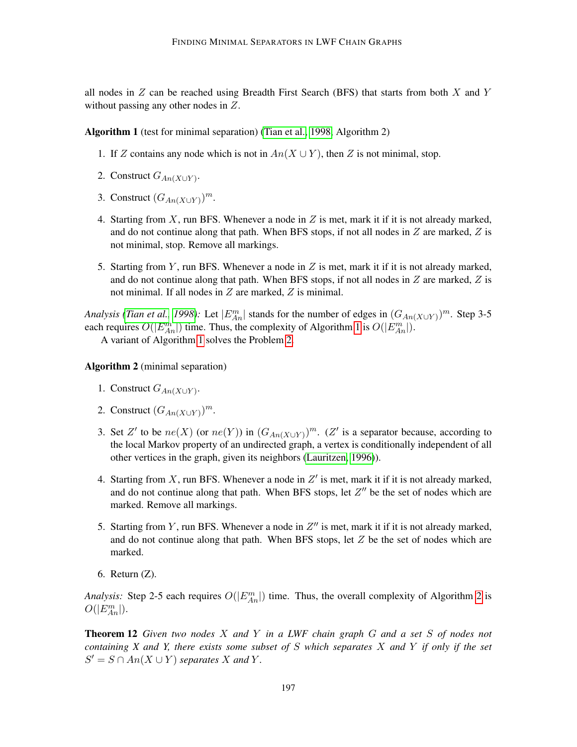all nodes in  $Z$  can be reached using Breadth First Search (BFS) that starts from both  $X$  and  $Y$ without passing any other nodes in Z.

Algorithm 1 (test for minimal separation) [\(Tian et al., 1998,](#page-7-4) Algorithm 2)

- 1. If Z contains any node which is not in  $An(X \cup Y)$ , then Z is not minimal, stop.
- 2. Construct  $G_{An(X\cup Y)}$ .
- 3. Construct  $(G_{An(X\cup Y)})^m$ .
- 4. Starting from  $X$ , run BFS. Whenever a node in  $Z$  is met, mark it if it is not already marked, and do not continue along that path. When BFS stops, if not all nodes in  $Z$  are marked,  $Z$  is not minimal, stop. Remove all markings.
- <span id="page-4-0"></span>5. Starting from Y, run BFS. Whenever a node in  $Z$  is met, mark it if it is not already marked, and do not continue along that path. When BFS stops, if not all nodes in  $Z$  are marked,  $Z$  is not minimal. If all nodes in Z are marked, Z is minimal.

*Analysis [\(Tian et al., 1998\)](#page-7-4):* Let  $|E_{An}^m|$  stands for the number of edges in  $(G_{An(X\cup Y)})^m$ . Step 3-5 each requires  $O(|E_{An}^m|)$  time. Thus, the complexity of Algorithm [1](#page-3-1) is  $O(|E_{An}^m|)$ .

A variant of Algorithm [1](#page-3-1) solves the Problem [2.](#page-0-0)

#### Algorithm 2 (minimal separation)

- 1. Construct  $G_{An(X\cup Y)}$ .
- 2. Construct  $(G_{An(X\cup Y)})^m$ .
- 3. Set Z' to be  $ne(X)$  (or  $ne(Y)$ ) in  $(G_{An(X\cup Y)})^m$ . (Z' is a separator because, according to the local Markov property of an undirected graph, a vertex is conditionally independent of all other vertices in the graph, given its neighbors [\(Lauritzen, 1996\)](#page-6-2)).
- 4. Starting from  $X$ , run BFS. Whenever a node in  $Z'$  is met, mark it if it is not already marked, and do not continue along that path. When BFS stops, let  $Z''$  be the set of nodes which are marked. Remove all markings.
- 5. Starting from Y, run BFS. Whenever a node in  $Z''$  is met, mark it if it is not already marked, and do not continue along that path. When BFS stops, let  $Z$  be the set of nodes which are marked.
- 6. Return (Z).

*Analysis:* Step [2](#page-4-0)-5 each requires  $O(|E_{An}^{m}|)$  time. Thus, the overall complexity of Algorithm 2 is  $O(|E_{An}^m|).$ 

<span id="page-4-1"></span>Theorem 12 *Given two nodes* X *and* Y *in a LWF chain graph* G *and a set* S *of nodes not containing X and Y, there exists some subset of* S *which separates* X *and* Y *if only if the set*  $S' = S \cap An(X \cup Y)$  separates X and Y.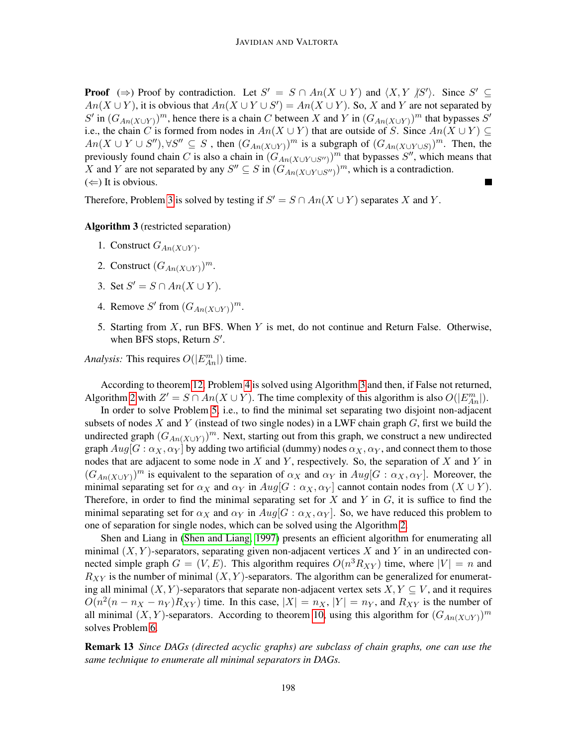**Proof**  $(\Rightarrow)$  Proof by contradiction. Let  $S' = S \cap An(X \cup Y)$  and  $\langle X, Y | S' \rangle$ . Since  $S' \subseteq$  $An(X \cup Y)$ , it is obvious that  $An(X \cup Y \cup S') = An(X \cup Y)$ . So, X and Y are not separated by S' in  $(G_{An(X\cup Y)})^m$ , hence there is a chain C between X and Y in  $(G_{An(X\cup Y)})^m$  that bypasses S' i.e., the chain C is formed from nodes in  $An(X \cup Y)$  that are outside of S. Since  $An(X \cup Y) \subseteq$  $An(X \cup Y \cup S'')$ ,  $\forall S'' \subseteq S$ , then  $(G_{An(X \cup Y)})^m$  is a subgraph of  $(G_{An(X \cup Y \cup S)})^m$ . Then, the previously found chain C is also a chain in  $(G<sub>An(X\cup Y\cup S'')</sub>)<sup>m</sup>$  that bypasses S'', which means that X and Y are not separated by any  $S'' \subseteq S$  in  $(G_{An(X \cup Y \cup S'')}^m)$ , which is a contradiction.  $(\Leftarrow)$  It is obvious.

Therefore, Problem [3](#page-0-0) is solved by testing if  $S' = S \cap An(X \cup Y)$  separates X and Y.

#### Algorithm 3 (restricted separation)

- 1. Construct  $G_{An(X\cup Y)}$ .
- 2. Construct  $(G_{An(X\cup Y)})^m$ .
- 3. Set  $S' = S \cap An(X \cup Y)$ .
- 4. Remove S' from  $(G_{An(X\cup Y)})^m$ .
- 5. Starting from X, run BFS. When Y is met, do not continue and Return False. Otherwise, when BFS stops, Return  $S'$ .

*Analysis:* This requires  $O(|E_{An}^{m}|)$  time.

According to theorem [12,](#page-4-1) Problem [4](#page-0-0) is solved using Algorithm [3](#page-4-1) and then, if False not returned, Algorithm [2](#page-4-0) with  $Z' = S \cap An(X \cup Y)$ . The time complexity of this algorithm is also  $O(|E_{An}^{m}|)$ .

In order to solve Problem [5,](#page-0-0) i.e., to find the minimal set separating two disjoint non-adjacent subsets of nodes X and Y (instead of two single nodes) in a LWF chain graph  $G$ , first we build the undirected graph  $(G_{An(X\cup Y)})^m$ . Next, starting out from this graph, we construct a new undirected graph  $Aug[G : \alpha_X, \alpha_Y]$  by adding two artificial (dummy) nodes  $\alpha_X, \alpha_Y$ , and connect them to those nodes that are adjacent to some node in  $X$  and  $Y$ , respectively. So, the separation of  $X$  and  $Y$  in  $(G_{An(X\cup Y)})^m$  is equivalent to the separation of  $\alpha_X$  and  $\alpha_Y$  in  $Aug[G : \alpha_X, \alpha_Y]$ . Moreover, the minimal separating set for  $\alpha_X$  and  $\alpha_Y$  in  $Aug[G : \alpha_X, \alpha_Y]$  cannot contain nodes from  $(X \cup Y)$ . Therefore, in order to find the minimal separating set for X and Y in  $G$ , it is suffice to find the minimal separating set for  $\alpha_X$  and  $\alpha_Y$  in  $Aug[G : \alpha_X, \alpha_Y]$ . So, we have reduced this problem to one of separation for single nodes, which can be solved using the Algorithm [2.](#page-4-0)

Shen and Liang in [\(Shen and Liang, 1997\)](#page-7-5) presents an efficient algorithm for enumerating all minimal  $(X, Y)$ -separators, separating given non-adjacent vertices X and Y in an undirected connected simple graph  $G = (V, E)$ . This algorithm requires  $O(n^3 R_{XY})$  time, where  $|V| = n$  and  $R_{XY}$  is the number of minimal  $(X, Y)$ -separators. The algorithm can be generalized for enumerating all minimal  $(X, Y)$ -separators that separate non-adjacent vertex sets  $X, Y \subseteq V$ , and it requires  $O(n^2(n - n_X - n_Y)R_{XY})$  time. In this case,  $|X| = n_X$ ,  $|Y| = n_Y$ , and  $R_{XY}$  is the number of all minimal  $(X, Y)$ -separators. According to theorem [10,](#page-3-2) using this algorithm for  $(G_{An(X\cup Y)})^m$ solves Problem [6.](#page-0-0)

Remark 13 *Since DAGs (directed acyclic graphs) are subclass of chain graphs, one can use the same technique to enumerate all minimal separators in DAGs.*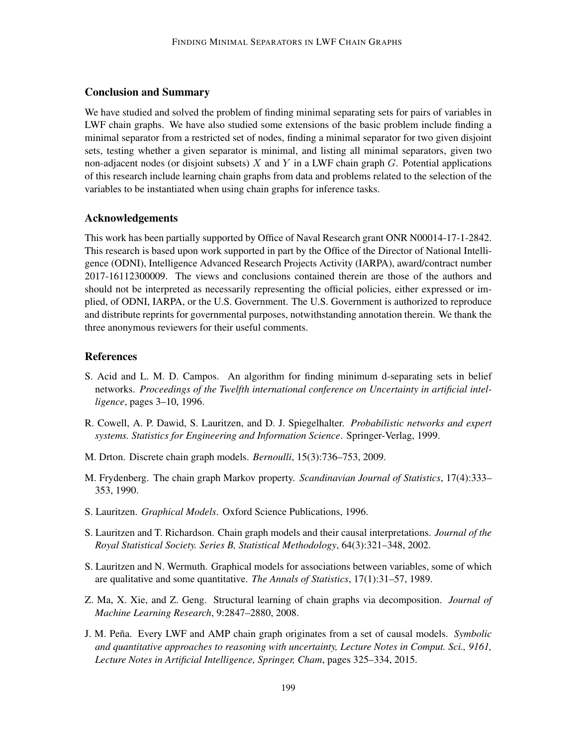# Conclusion and Summary

We have studied and solved the problem of finding minimal separating sets for pairs of variables in LWF chain graphs. We have also studied some extensions of the basic problem include finding a minimal separator from a restricted set of nodes, finding a minimal separator for two given disjoint sets, testing whether a given separator is minimal, and listing all minimal separators, given two non-adjacent nodes (or disjoint subsets) X and Y in a LWF chain graph  $G$ . Potential applications of this research include learning chain graphs from data and problems related to the selection of the variables to be instantiated when using chain graphs for inference tasks.

### Acknowledgements

This work has been partially supported by Office of Naval Research grant ONR N00014-17-1-2842. This research is based upon work supported in part by the Office of the Director of National Intelligence (ODNI), Intelligence Advanced Research Projects Activity (IARPA), award/contract number 2017-16112300009. The views and conclusions contained therein are those of the authors and should not be interpreted as necessarily representing the official policies, either expressed or implied, of ODNI, IARPA, or the U.S. Government. The U.S. Government is authorized to reproduce and distribute reprints for governmental purposes, notwithstanding annotation therein. We thank the three anonymous reviewers for their useful comments.

# References

- <span id="page-6-8"></span>S. Acid and L. M. D. Campos. An algorithm for finding minimum d-separating sets in belief networks. *Proceedings of the Twelfth international conference on Uncertainty in artificial intelligence*, pages 3–10, 1996.
- <span id="page-6-4"></span>R. Cowell, A. P. Dawid, S. Lauritzen, and D. J. Spiegelhalter. *Probabilistic networks and expert systems. Statistics for Engineering and Information Science*. Springer-Verlag, 1999.
- <span id="page-6-5"></span>M. Drton. Discrete chain graph models. *Bernoulli*, 15(3):736–753, 2009.
- <span id="page-6-0"></span>M. Frydenberg. The chain graph Markov property. *Scandinavian Journal of Statistics*, 17(4):333– 353, 1990.
- <span id="page-6-2"></span>S. Lauritzen. *Graphical Models*. Oxford Science Publications, 1996.
- <span id="page-6-3"></span>S. Lauritzen and T. Richardson. Chain graph models and their causal interpretations. *Journal of the Royal Statistical Society. Series B, Statistical Methodology*, 64(3):321–348, 2002.
- <span id="page-6-1"></span>S. Lauritzen and N. Wermuth. Graphical models for associations between variables, some of which are qualitative and some quantitative. *The Annals of Statistics*, 17(1):31–57, 1989.
- <span id="page-6-6"></span>Z. Ma, X. Xie, and Z. Geng. Structural learning of chain graphs via decomposition. *Journal of Machine Learning Research*, 9:2847–2880, 2008.
- <span id="page-6-7"></span>J. M. Pena. Every LWF and AMP chain graph originates from a set of causal models. ˜ *Symbolic and quantitative approaches to reasoning with uncertainty, Lecture Notes in Comput. Sci., 9161, Lecture Notes in Artificial Intelligence, Springer, Cham*, pages 325–334, 2015.